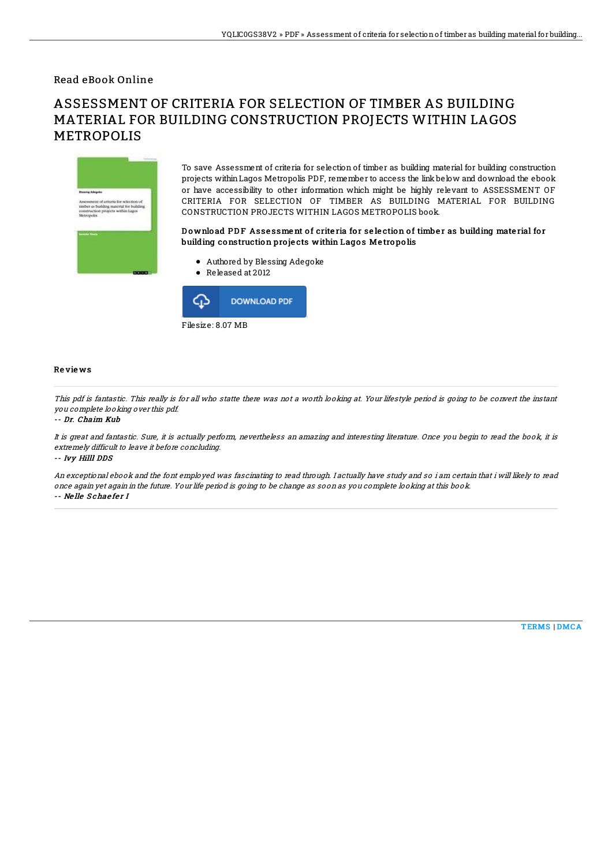### Read eBook Online

# ASSESSMENT OF CRITERIA FOR SELECTION OF TIMBER AS BUILDING MATERIAL FOR BUILDING CONSTRUCTION PROJECTS WITHIN LAGOS METROPOLIS



To save Assessment of criteria for selection of timber as building material for building construction projects withinLagos Metropolis PDF, remember to access the link below and download the ebook or have accessibility to other information which might be highly relevant to ASSESSMENT OF CRITERIA FOR SELECTION OF TIMBER AS BUILDING MATERIAL FOR BUILDING CONSTRUCTION PROJECTS WITHIN LAGOS METROPOLIS book.

#### Download PDF Assessment of criteria for selection of timber as building material for building construction projects within Lagos Metropolis

- Authored by Blessing Adegoke
- Released at 2012



#### Re vie ws

This pdf is fantastic. This really is for all who statte there was not <sup>a</sup> worth looking at. Your lifestyle period is going to be convert the instant you complete looking over this pdf.

#### -- Dr. Chaim Kub

It is great and fantastic. Sure, it is actually perform, nevertheless an amazing and interesting literature. Once you begin to read the book, it is extremely difficult to leave it before concluding.

-- Ivy Hilll DDS

An exceptional ebook and the font employed was fascinating to read through. I actually have study and so i am certain that i will likely to read once again yet again in the future. Your life period is going to be change as soon as you complete looking at this book. -- Ne lle S chae fe <sup>r</sup> I